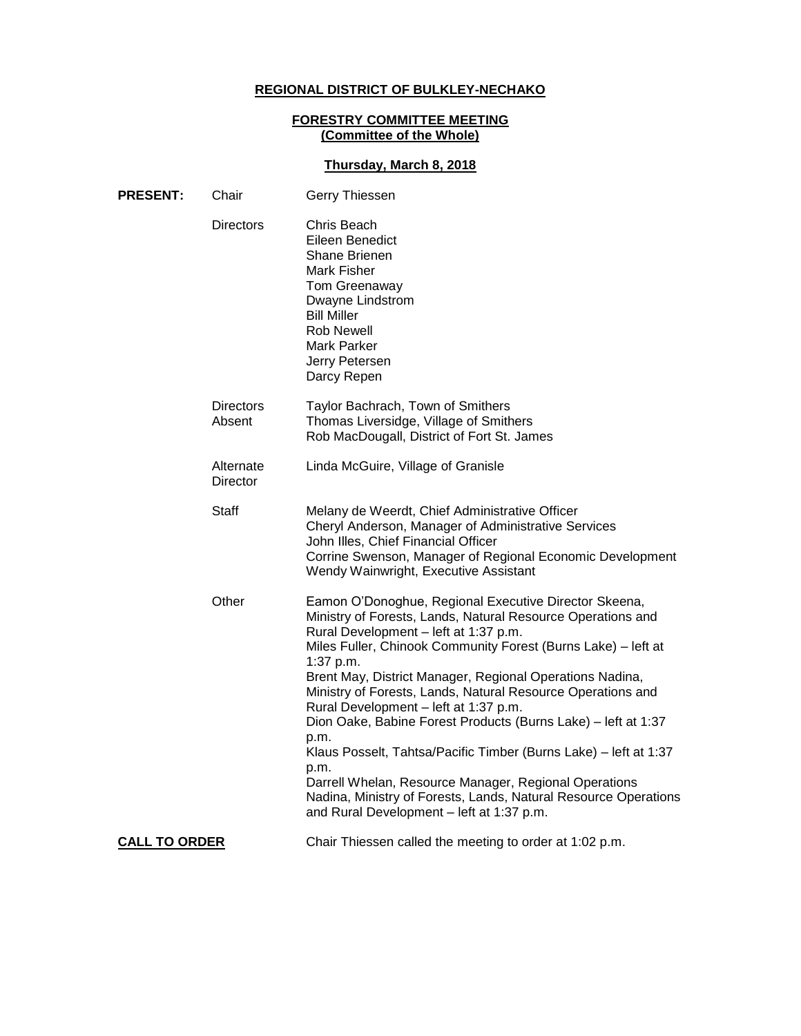# **REGIONAL DISTRICT OF BULKLEY-NECHAKO**

#### **FORESTRY COMMITTEE MEETING (Committee of the Whole)**

# **Thursday, March 8, 2018**

| <b>PRESENT:</b>      | Chair                      | Gerry Thiessen                                                                                                                                                                                                                                                                                                                                                                                                                                                                                                                                                                                                                                                                                                                                |
|----------------------|----------------------------|-----------------------------------------------------------------------------------------------------------------------------------------------------------------------------------------------------------------------------------------------------------------------------------------------------------------------------------------------------------------------------------------------------------------------------------------------------------------------------------------------------------------------------------------------------------------------------------------------------------------------------------------------------------------------------------------------------------------------------------------------|
|                      | <b>Directors</b>           | Chris Beach<br>Eileen Benedict<br>Shane Brienen<br>Mark Fisher<br>Tom Greenaway<br>Dwayne Lindstrom<br><b>Bill Miller</b><br>Rob Newell<br><b>Mark Parker</b><br>Jerry Petersen<br>Darcy Repen                                                                                                                                                                                                                                                                                                                                                                                                                                                                                                                                                |
|                      | <b>Directors</b><br>Absent | Taylor Bachrach, Town of Smithers<br>Thomas Liversidge, Village of Smithers<br>Rob MacDougall, District of Fort St. James                                                                                                                                                                                                                                                                                                                                                                                                                                                                                                                                                                                                                     |
|                      | Alternate<br>Director      | Linda McGuire, Village of Granisle                                                                                                                                                                                                                                                                                                                                                                                                                                                                                                                                                                                                                                                                                                            |
|                      | <b>Staff</b>               | Melany de Weerdt, Chief Administrative Officer<br>Cheryl Anderson, Manager of Administrative Services<br>John Illes, Chief Financial Officer<br>Corrine Swenson, Manager of Regional Economic Development<br>Wendy Wainwright, Executive Assistant                                                                                                                                                                                                                                                                                                                                                                                                                                                                                            |
|                      | Other                      | Eamon O'Donoghue, Regional Executive Director Skeena,<br>Ministry of Forests, Lands, Natural Resource Operations and<br>Rural Development - left at 1:37 p.m.<br>Miles Fuller, Chinook Community Forest (Burns Lake) - left at<br>1:37 p.m.<br>Brent May, District Manager, Regional Operations Nadina,<br>Ministry of Forests, Lands, Natural Resource Operations and<br>Rural Development - left at 1:37 p.m.<br>Dion Oake, Babine Forest Products (Burns Lake) - left at 1:37<br>p.m.<br>Klaus Posselt, Tahtsa/Pacific Timber (Burns Lake) - left at 1:37<br>p.m.<br>Darrell Whelan, Resource Manager, Regional Operations<br>Nadina, Ministry of Forests, Lands, Natural Resource Operations<br>and Rural Development - left at 1:37 p.m. |
| <b>CALL TO ORDER</b> |                            | Chair Thiessen called the meeting to order at 1:02 p.m.                                                                                                                                                                                                                                                                                                                                                                                                                                                                                                                                                                                                                                                                                       |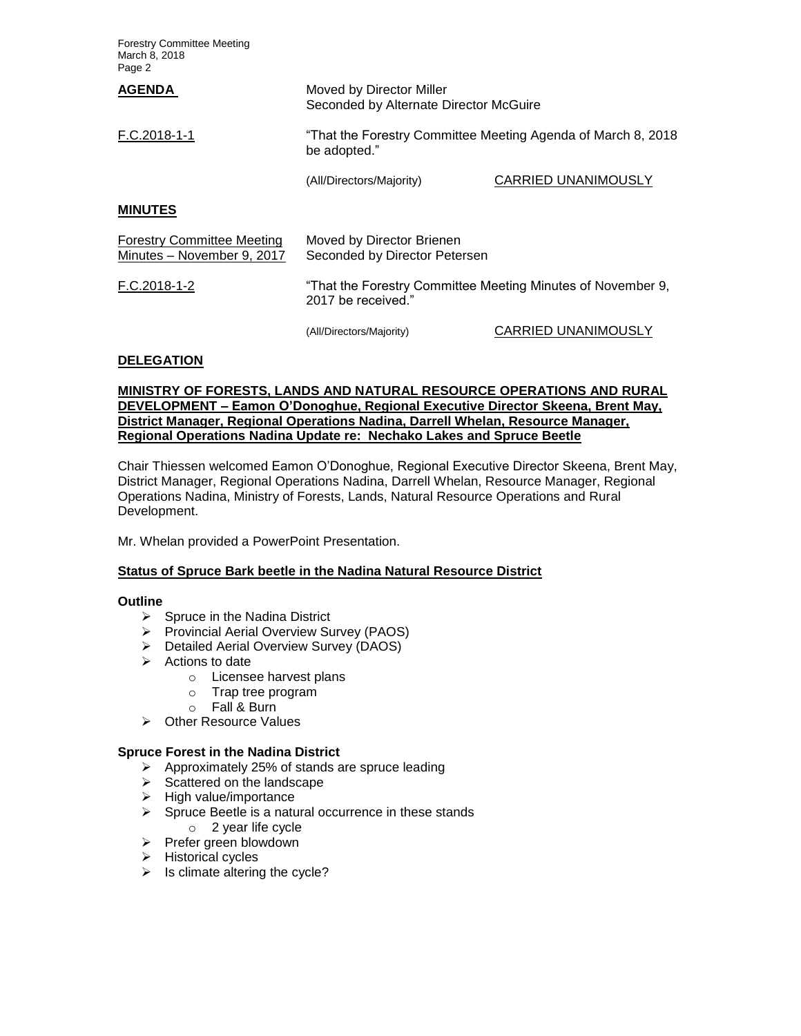Forestry Committee Meeting March 8, 2018 Page 2

| <b>AGENDA</b>                                                   | Moved by Director Miller<br>Seconded by Alternate Director McGuire                |                            |
|-----------------------------------------------------------------|-----------------------------------------------------------------------------------|----------------------------|
| F.C.2018-1-1                                                    | "That the Forestry Committee Meeting Agenda of March 8, 2018<br>be adopted."      |                            |
|                                                                 | (All/Directors/Majority)                                                          | <b>CARRIED UNANIMOUSLY</b> |
| <b>MINUTES</b>                                                  |                                                                                   |                            |
| <b>Forestry Committee Meeting</b><br>Minutes - November 9, 2017 | Moved by Director Brienen<br>Seconded by Director Petersen                        |                            |
| F.C.2018-1-2                                                    | "That the Forestry Committee Meeting Minutes of November 9,<br>2017 be received." |                            |

(All/Directors/Majority) CARRIED UNANIMOUSLY

## **DELEGATION**

**MINISTRY OF FORESTS, LANDS AND NATURAL RESOURCE OPERATIONS AND RURAL DEVELOPMENT – Eamon O'Donoghue, Regional Executive Director Skeena, Brent May, District Manager, Regional Operations Nadina, Darrell Whelan, Resource Manager, Regional Operations Nadina Update re: Nechako Lakes and Spruce Beetle**

Chair Thiessen welcomed Eamon O'Donoghue, Regional Executive Director Skeena, Brent May, District Manager, Regional Operations Nadina, Darrell Whelan, Resource Manager, Regional Operations Nadina, Ministry of Forests, Lands, Natural Resource Operations and Rural Development.

Mr. Whelan provided a PowerPoint Presentation.

## **Status of Spruce Bark beetle in the Nadina Natural Resource District**

## **Outline**

- $\triangleright$  Spruce in the Nadina District
- Provincial Aerial Overview Survey (PAOS)
- Detailed Aerial Overview Survey (DAOS)
- $\triangleright$  Actions to date
	- o Licensee harvest plans
	- o Trap tree program
	- o Fall & Burn
- **▶ Other Resource Values**

## **Spruce Forest in the Nadina District**

- $\triangleright$  Approximately 25% of stands are spruce leading
- $\triangleright$  Scattered on the landscape
- $\triangleright$  High value/importance
- $\triangleright$  Spruce Beetle is a natural occurrence in these stands
	- o 2 year life cycle
- > Prefer green blowdown
- $\triangleright$  Historical cycles
- $\triangleright$  Is climate altering the cycle?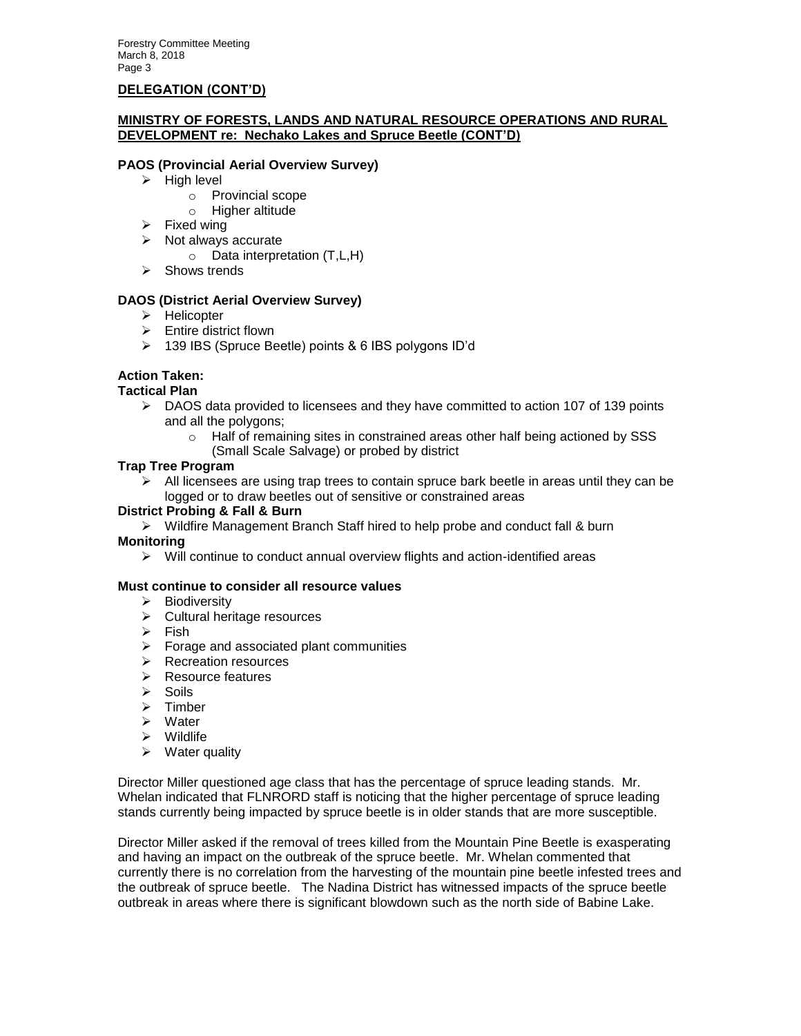## **DELEGATION (CONT'D)**

## **MINISTRY OF FORESTS, LANDS AND NATURAL RESOURCE OPERATIONS AND RURAL DEVELOPMENT re: Nechako Lakes and Spruce Beetle (CONT'D)**

## **PAOS (Provincial Aerial Overview Survey)**

- $\triangleright$  High level
	- o Provincial scope
	- o Higher altitude
- $\triangleright$  Fixed wing
- $\triangleright$  Not always accurate
	- o Data interpretation (T,L,H)
- $\triangleright$  Shows trends

## **DAOS (District Aerial Overview Survey)**

- > Helicopter
- $\triangleright$  Entire district flown
- 139 IBS (Spruce Beetle) points & 6 IBS polygons ID'd

## **Action Taken:**

## **Tactical Plan**

- $\triangleright$  DAOS data provided to licensees and they have committed to action 107 of 139 points and all the polygons;
	- $\circ$  Half of remaining sites in constrained areas other half being actioned by SSS
	- (Small Scale Salvage) or probed by district

## **Trap Tree Program**

 $\triangleright$  All licensees are using trap trees to contain spruce bark beetle in areas until they can be logged or to draw beetles out of sensitive or constrained areas

## **District Probing & Fall & Burn**

 $\triangleright$  Wildfire Management Branch Staff hired to help probe and conduct fall & burn

## **Monitoring**

 $\triangleright$  Will continue to conduct annual overview flights and action-identified areas

## **Must continue to consider all resource values**

- $\triangleright$  Biodiversity
- $\triangleright$  Cultural heritage resources
- $\triangleright$  Fish
- $\triangleright$  Forage and associated plant communities
- $\triangleright$  Recreation resources
- $\triangleright$  Resource features
- $\triangleright$  Soils
- > Timber
- Water
- $\triangleright$  Wildlife
- $\triangleright$  Water quality

Director Miller questioned age class that has the percentage of spruce leading stands. Mr. Whelan indicated that FLNRORD staff is noticing that the higher percentage of spruce leading stands currently being impacted by spruce beetle is in older stands that are more susceptible.

Director Miller asked if the removal of trees killed from the Mountain Pine Beetle is exasperating and having an impact on the outbreak of the spruce beetle. Mr. Whelan commented that currently there is no correlation from the harvesting of the mountain pine beetle infested trees and the outbreak of spruce beetle. The Nadina District has witnessed impacts of the spruce beetle outbreak in areas where there is significant blowdown such as the north side of Babine Lake.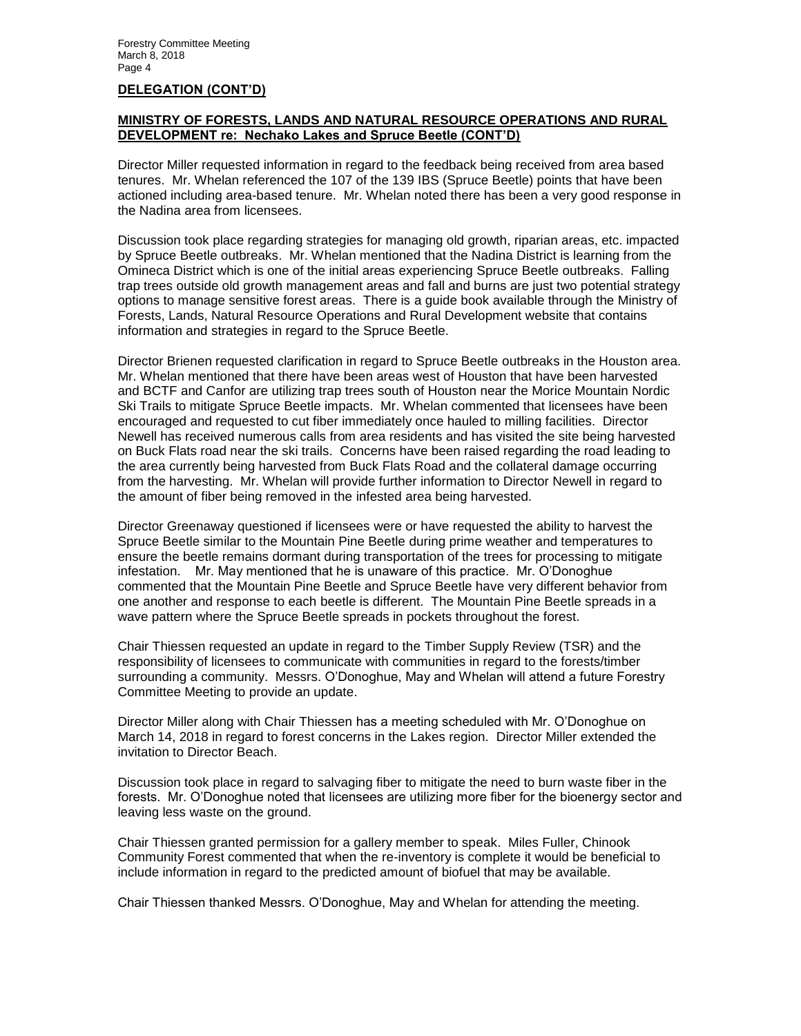## **DELEGATION (CONT'D)**

## **MINISTRY OF FORESTS, LANDS AND NATURAL RESOURCE OPERATIONS AND RURAL DEVELOPMENT re: Nechako Lakes and Spruce Beetle (CONT'D)**

Director Miller requested information in regard to the feedback being received from area based tenures. Mr. Whelan referenced the 107 of the 139 IBS (Spruce Beetle) points that have been actioned including area-based tenure. Mr. Whelan noted there has been a very good response in the Nadina area from licensees.

Discussion took place regarding strategies for managing old growth, riparian areas, etc. impacted by Spruce Beetle outbreaks. Mr. Whelan mentioned that the Nadina District is learning from the Omineca District which is one of the initial areas experiencing Spruce Beetle outbreaks. Falling trap trees outside old growth management areas and fall and burns are just two potential strategy options to manage sensitive forest areas. There is a guide book available through the Ministry of Forests, Lands, Natural Resource Operations and Rural Development website that contains information and strategies in regard to the Spruce Beetle.

Director Brienen requested clarification in regard to Spruce Beetle outbreaks in the Houston area. Mr. Whelan mentioned that there have been areas west of Houston that have been harvested and BCTF and Canfor are utilizing trap trees south of Houston near the Morice Mountain Nordic Ski Trails to mitigate Spruce Beetle impacts. Mr. Whelan commented that licensees have been encouraged and requested to cut fiber immediately once hauled to milling facilities. Director Newell has received numerous calls from area residents and has visited the site being harvested on Buck Flats road near the ski trails. Concerns have been raised regarding the road leading to the area currently being harvested from Buck Flats Road and the collateral damage occurring from the harvesting. Mr. Whelan will provide further information to Director Newell in regard to the amount of fiber being removed in the infested area being harvested.

Director Greenaway questioned if licensees were or have requested the ability to harvest the Spruce Beetle similar to the Mountain Pine Beetle during prime weather and temperatures to ensure the beetle remains dormant during transportation of the trees for processing to mitigate infestation. Mr. May mentioned that he is unaware of this practice. Mr. O'Donoghue commented that the Mountain Pine Beetle and Spruce Beetle have very different behavior from one another and response to each beetle is different. The Mountain Pine Beetle spreads in a wave pattern where the Spruce Beetle spreads in pockets throughout the forest.

Chair Thiessen requested an update in regard to the Timber Supply Review (TSR) and the responsibility of licensees to communicate with communities in regard to the forests/timber surrounding a community. Messrs. O'Donoghue, May and Whelan will attend a future Forestry Committee Meeting to provide an update.

Director Miller along with Chair Thiessen has a meeting scheduled with Mr. O'Donoghue on March 14, 2018 in regard to forest concerns in the Lakes region. Director Miller extended the invitation to Director Beach.

Discussion took place in regard to salvaging fiber to mitigate the need to burn waste fiber in the forests. Mr. O'Donoghue noted that licensees are utilizing more fiber for the bioenergy sector and leaving less waste on the ground.

Chair Thiessen granted permission for a gallery member to speak. Miles Fuller, Chinook Community Forest commented that when the re-inventory is complete it would be beneficial to include information in regard to the predicted amount of biofuel that may be available.

Chair Thiessen thanked Messrs. O'Donoghue, May and Whelan for attending the meeting.